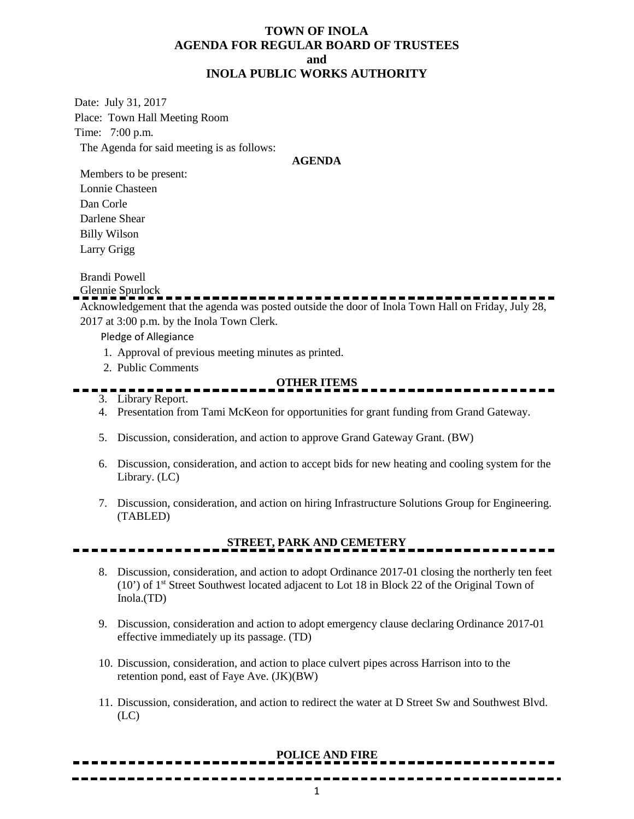## **TOWN OF INOLA AGENDA FOR REGULAR BOARD OF TRUSTEES and INOLA PUBLIC WORKS AUTHORITY**

Date: July 31, 2017 Place: Town Hall Meeting Room Time: 7:00 p.m. The Agenda for said meeting is as follows:

**AGENDA**

Members to be present: Lonnie Chasteen Dan Corle Darlene Shear Billy Wilson Larry Grigg

Brandi Powell

Glennie Spurlock

Acknowledgement that the agenda was posted outside the door of Inola Town Hall on Friday, July 28, 2017 at 3:00 p.m. by the Inola Town Clerk.

Pledge of Allegiance

- 1. Approval of previous meeting minutes as printed.
- 2. Public Comments

#### **OTHER ITEMS**

- 3. Library Report.
- 4. Presentation from Tami McKeon for opportunities for grant funding from Grand Gateway.
- 5. Discussion, consideration, and action to approve Grand Gateway Grant. (BW)
- 6. Discussion, consideration, and action to accept bids for new heating and cooling system for the Library. (LC)
- 7. Discussion, consideration, and action on hiring Infrastructure Solutions Group for Engineering. (TABLED)

## **STREET, PARK AND CEMETERY**

- 8. Discussion, consideration, and action to adopt Ordinance 2017-01 closing the northerly ten feet (10') of 1st Street Southwest located adjacent to Lot 18 in Block 22 of the Original Town of Inola.(TD)
- 9. Discussion, consideration and action to adopt emergency clause declaring Ordinance 2017-01 effective immediately up its passage. (TD)
- 10. Discussion, consideration, and action to place culvert pipes across Harrison into to the retention pond, east of Faye Ave. (JK)(BW)
- 11. Discussion, consideration, and action to redirect the water at D Street Sw and Southwest Blvd. (LC)

## **POLICE AND FIRE**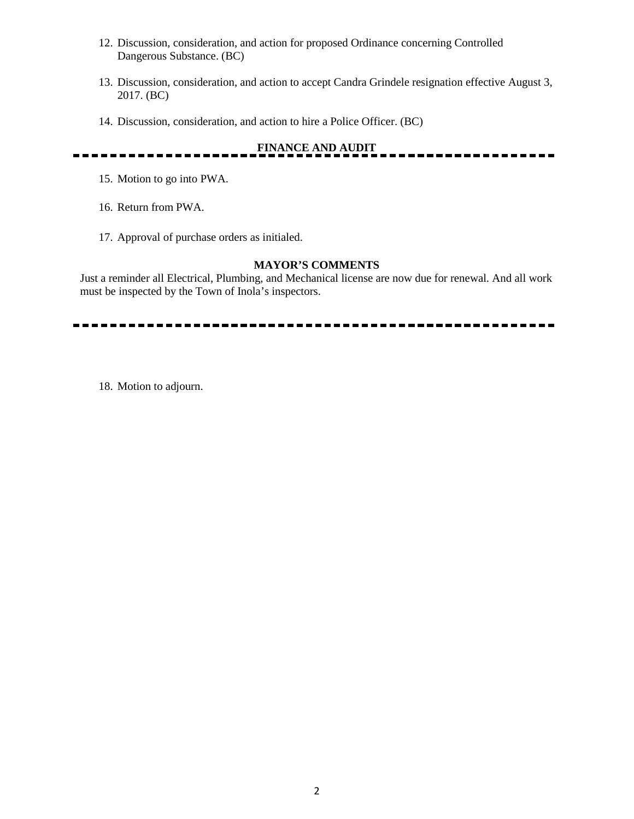- 12. Discussion, consideration, and action for proposed Ordinance concerning Controlled Dangerous Substance. (BC)
- 13. Discussion, consideration, and action to accept Candra Grindele resignation effective August 3, 2017. (BC)
- 14. Discussion, consideration, and action to hire a Police Officer. (BC)

 $=$   $-$ 

# **FINANCE AND AUDIT**

- 15. Motion to go into PWA.
- 16. Return from PWA.
- 17. Approval of purchase orders as initialed.

#### **MAYOR'S COMMENTS**

Just a reminder all Electrical, Plumbing, and Mechanical license are now due for renewal. And all work must be inspected by the Town of Inola's inspectors.

. . . . . . . . . . . . . . .

18. Motion to adjourn.